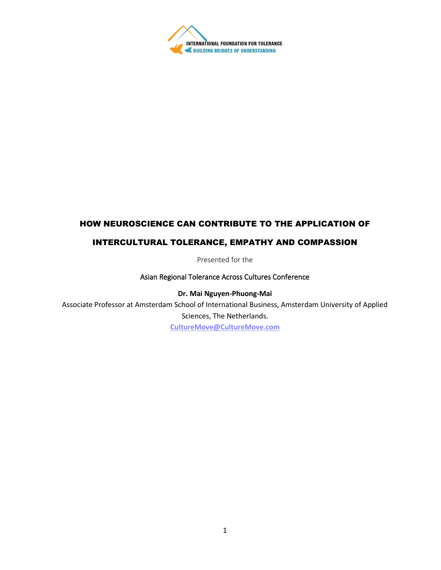

# HOW NEUROSCIENCE CAN CONTRIBUTE TO THE APPLICATION OF

## INTERCULTURAL TOLERANCE, EMPATHY AND COMPASSION

Presented for the

#### Asian Regional Tolerance Across Cultures Conference

**Dr. Mai Nguyen-Phuong-Mai**

Associate Professor at Amsterdam School of International Business, Amsterdam University of Applied Sciences, The Netherlands. **[CultureMove@CultureMove.com](mailto:CultureMove@CultureMove.com)**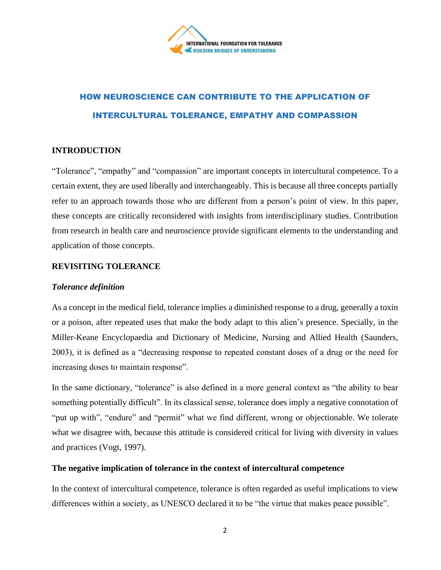

# HOW NEUROSCIENCE CAN CONTRIBUTE TO THE APPLICATION OF INTERCULTURAL TOLERANCE, EMPATHY AND COMPASSION

# **INTRODUCTION**

"Tolerance", "empathy" and "compassion" are important concepts in intercultural competence. To a certain extent, they are used liberally and interchangeably. This is because all three concepts partially refer to an approach towards those who are different from a person's point of view. In this paper, these concepts are critically reconsidered with insights from interdisciplinary studies. Contribution from research in health care and neuroscience provide significant elements to the understanding and application of those concepts.

## **REVISITING TOLERANCE**

#### *Tolerance definition*

As a concept in the medical field, tolerance implies a diminished response to a drug, generally a toxin or a poison, after repeated uses that make the body adapt to this alien's presence. Specially, in the Miller-Keane Encyclopaedia and Dictionary of Medicine, Nursing and Allied Health (Saunders, 2003), it is defined as a "decreasing response to repeated constant doses of a drug or the need for increasing doses to maintain response".

In the same dictionary, "tolerance" is also defined in a more general context as "the ability to bear something potentially difficult". In its classical sense, tolerance does imply a negative connotation of "put up with", "endure" and "permit" what we find different, wrong or objectionable. We tolerate what we disagree with, because this attitude is considered critical for living with diversity in values and practices (Vogt, 1997).

#### **The negative implication of tolerance in the context of intercultural competence**

In the context of intercultural competence, tolerance is often regarded as useful implications to view differences within a society, as UNESCO declared it to be "the virtue that makes peace possible".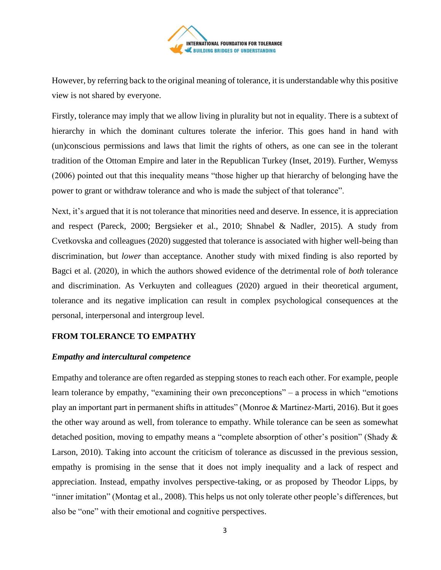

However, by referring back to the original meaning of tolerance, it is understandable why this positive view is not shared by everyone.

Firstly, tolerance may imply that we allow living in plurality but not in equality. There is a subtext of hierarchy in which the dominant cultures tolerate the inferior. This goes hand in hand with (un)conscious permissions and laws that limit the rights of others, as one can see in the tolerant tradition of the Ottoman Empire and later in the Republican Turkey (Inset, 2019). Further, Wemyss (2006) pointed out that this inequality means "those higher up that hierarchy of belonging have the power to grant or withdraw tolerance and who is made the subject of that tolerance".

Next, it's argued that it is not tolerance that minorities need and deserve. In essence, it is appreciation and respect (Pareck, 2000; Bergsieker et al., 2010; Shnabel & Nadler, 2015). A study from Cvetkovska and colleagues (2020) suggested that tolerance is associated with higher well-being than discrimination, but *lower* than acceptance. Another study with mixed finding is also reported by Bagci et al. (2020), in which the authors showed evidence of the detrimental role of *both* tolerance and discrimination. As Verkuyten and colleagues (2020) argued in their theoretical argument, tolerance and its negative implication can result in complex psychological consequences at the personal, interpersonal and intergroup level.

#### **FROM TOLERANCE TO EMPATHY**

#### *Empathy and intercultural competence*

Empathy and tolerance are often regarded as stepping stones to reach each other. For example, people learn tolerance by empathy, "examining their own preconceptions" – a process in which "emotions play an important part in permanent shifts in attitudes" (Monroe & Martinez-Marti, 2016). But it goes the other way around as well, from tolerance to empathy. While tolerance can be seen as somewhat detached position, moving to empathy means a "complete absorption of other's position" (Shady & Larson, 2010). Taking into account the criticism of tolerance as discussed in the previous session, empathy is promising in the sense that it does not imply inequality and a lack of respect and appreciation. Instead, empathy involves perspective-taking, or as proposed by Theodor Lipps, by "inner imitation" (Montag et al., 2008). This helps us not only tolerate other people's differences, but also be "one" with their emotional and cognitive perspectives.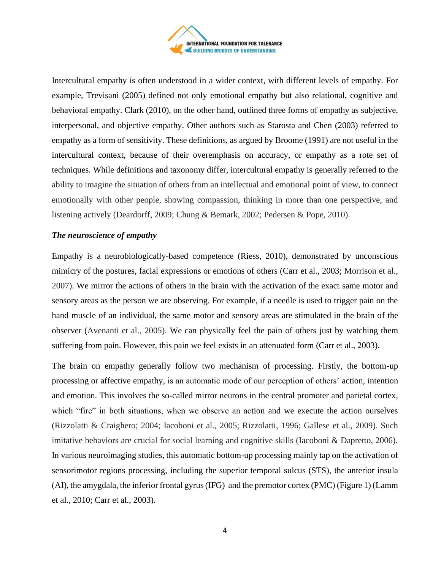

Intercultural empathy is often understood in a wider context, with different levels of empathy. For example, Trevisani (2005) defined not only emotional empathy but also relational, cognitive and behavioral empathy. Clark (2010), on the other hand, outlined three forms of empathy as subjective, interpersonal, and objective empathy. Other authors such as Starosta and Chen (2003) referred to empathy as a form of sensitivity. These definitions, as argued by Broome (1991) are not useful in the intercultural context, because of their overemphasis on accuracy, or empathy as a rote set of techniques. While definitions and taxonomy differ, intercultural empathy is generally referred to the ability to imagine the situation of others from an intellectual and emotional point of view, to connect emotionally with other people, showing compassion, thinking in more than one perspective, and listening actively (Deardorff, 2009; Chung & Bemark, 2002; Pedersen & Pope, 2010).

#### *The neuroscience of empathy*

Empathy is a neurobiologically-based competence (Riess, 2010), demonstrated by unconscious mimicry of the postures, facial expressions or emotions of others (Carr et al., 2003; Morrison et al., 2007). We mirror the actions of others in the brain with the activation of the exact same motor and sensory areas as the person we are observing. For example, if a needle is used to trigger pain on the hand muscle of an individual, the same motor and sensory areas are stimulated in the brain of the observer (Avenanti et al., 2005). We can physically feel the pain of others just by watching them suffering from pain. However, this pain we feel exists in an attenuated form (Carr et al., 2003).

The brain on empathy generally follow two mechanism of processing. Firstly, the bottom-up processing or affective empathy, is an automatic mode of our perception of others' action, intention and emotion. This involves the so-called mirror neurons in the central promoter and parietal cortex, which "fire" in both situations, when we observe an action and we execute the action ourselves (Rizzolatti & Craighero; 2004; Iacoboni et al., 2005; Rizzolatti, 1996; Gallese et al., 2009). Such imitative behaviors are crucial for social learning and cognitive skills (Iacoboni & Dapretto, 2006). In various neuroimaging studies, this automatic bottom-up processing mainly tap on the activation of sensorimotor regions processing, including the superior temporal sulcus (STS), the anterior insula (AI), the amygdala, the inferior frontal gyrus (IFG) and the premotor cortex (PMC) (Figure 1) (Lamm et al., 2010; Carr et al., 2003).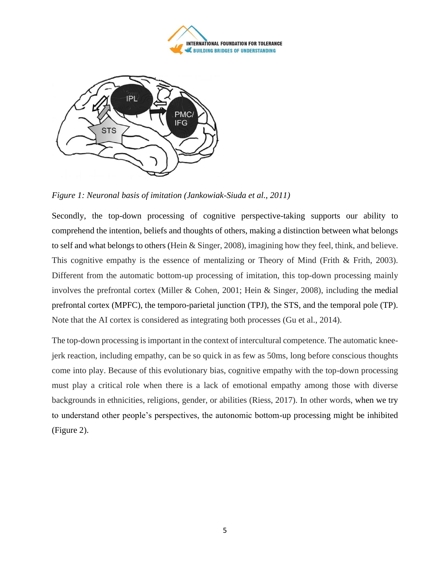



*Figure 1: Neuronal basis of imitation (Jankowiak-Siuda et al., 2011)*

Secondly, the top-down processing of cognitive perspective-taking supports our ability to comprehend the intention, beliefs and thoughts of others, making a distinction between what belongs to self and what belongs to others (Hein & Singer, 2008), imagining how they feel, think, and believe. This cognitive empathy is the essence of mentalizing or Theory of Mind (Frith & Frith, 2003). Different from the automatic bottom-up processing of imitation, this top-down processing mainly involves the prefrontal cortex (Miller & Cohen, 2001; Hein & Singer, 2008), including the medial prefrontal cortex (MPFC), the temporo-parietal junction (TPJ), the STS, and the temporal pole (TP). Note that the AI cortex is considered as integrating both processes (Gu et al., 2014).

The top-down processing is important in the context of intercultural competence. The automatic kneejerk reaction, including empathy, can be so quick in as few as 50ms, long before conscious thoughts come into play. Because of this evolutionary bias, cognitive empathy with the top-down processing must play a critical role when there is a lack of emotional empathy among those with diverse backgrounds in ethnicities, religions, gender, or abilities (Riess, 2017). In other words, when we try to understand other people's perspectives, the autonomic bottom-up processing might be inhibited (Figure 2).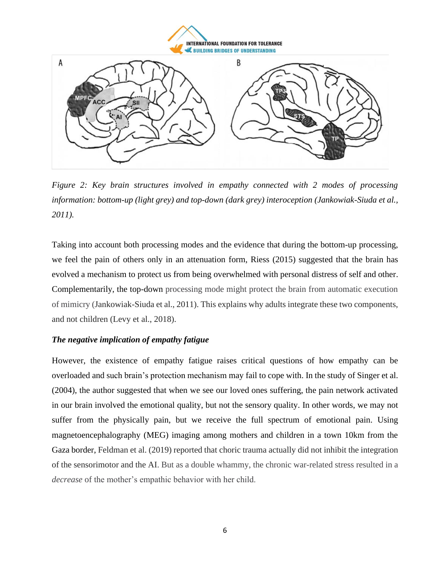**INTERNATIONAL FOUNDATION FOR TOLERANCE EXECUTE OF UNDERSTANDING** 



*Figure 2: Key brain structures involved in empathy connected with 2 modes of processing information: bottom-up (light grey) and top-down (dark grey) interoception (Jankowiak-Siuda et al., 2011).*

Taking into account both processing modes and the evidence that during the bottom-up processing, we feel the pain of others only in an attenuation form, Riess (2015) suggested that the brain has evolved a mechanism to protect us from being overwhelmed with personal distress of self and other. Complementarily, the top-down processing mode might protect the brain from automatic execution of mimicry (Jankowiak-Siuda et al., 2011). This explains why adults integrate these two components, and not children (Levy et al., 2018).

#### *The negative implication of empathy fatigue*

However, the existence of empathy fatigue raises critical questions of how empathy can be overloaded and such brain's protection mechanism may fail to cope with. In the study of Singer et al. (2004), the author suggested that when we see our loved ones suffering, the pain network activated in our brain involved the emotional quality, but not the sensory quality. In other words, we may not suffer from the physically pain, but we receive the full spectrum of emotional pain. Using magnetoencephalography (MEG) imaging among mothers and children in a town 10km from the Gaza border, Feldman et al. (2019) reported that choric trauma actually did not inhibit the integration of the sensorimotor and the AI. But as a double whammy, the chronic war-related stress resulted in a *decrease* of the mother's empathic behavior with her child.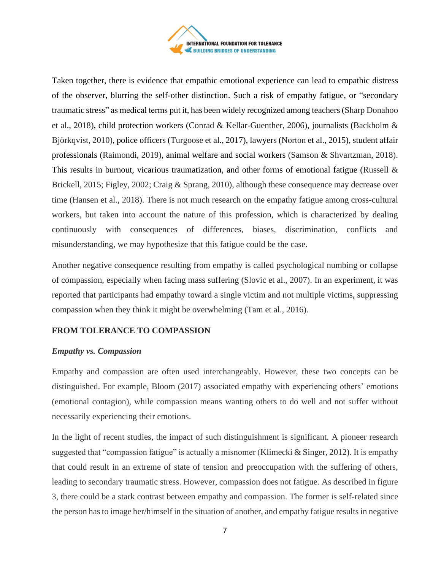

Taken together, there is evidence that empathic emotional experience can lead to empathic distress of the observer, blurring the self-other distinction. Such a risk of empathy fatigue, or "secondary traumatic stress" as medical terms put it, has been widely recognized among teachers(Sharp Donahoo et al., 2018), child protection workers (Conrad & Kellar-Guenther, 2006), journalists (Backholm & Björkqvist, 2010), police officers (Turgoose et al., 2017), lawyers (Norton et al., 2015), student affair professionals (Raimondi, 2019), animal welfare and social workers (Samson & Shvartzman, 2018). This results in burnout, vicarious traumatization, and other forms of emotional fatigue (Russell & Brickell, 2015; Figley, 2002; Craig & Sprang, 2010), although these consequence may decrease over time (Hansen et al., 2018). There is not much research on the empathy fatigue among cross-cultural workers, but taken into account the nature of this profession, which is characterized by dealing continuously with consequences of differences, biases, discrimination, conflicts and misunderstanding, we may hypothesize that this fatigue could be the case.

Another negative consequence resulting from empathy is called psychological numbing or collapse of compassion, especially when facing mass suffering (Slovic et al., 2007). In an experiment, it was reported that participants had empathy toward a single victim and not multiple victims, suppressing compassion when they think it might be overwhelming (Tam et al., 2016).

# **FROM TOLERANCE TO COMPASSION**

#### *Empathy vs. Compassion*

Empathy and compassion are often used interchangeably. However, these two concepts can be distinguished. For example, Bloom (2017) associated empathy with experiencing others' emotions (emotional contagion), while compassion means wanting others to do well and not suffer without necessarily experiencing their emotions.

In the light of recent studies, the impact of such distinguishment is significant. A pioneer research suggested that "compassion fatigue" is actually a misnomer (Klimecki & Singer, 2012). It is empathy that could result in an extreme of state of tension and preoccupation with the suffering of others, leading to secondary traumatic stress. However, compassion does not fatigue. As described in figure 3, there could be a stark contrast between empathy and compassion. The former is self-related since the person has to image her/himself in the situation of another, and empathy fatigue results in negative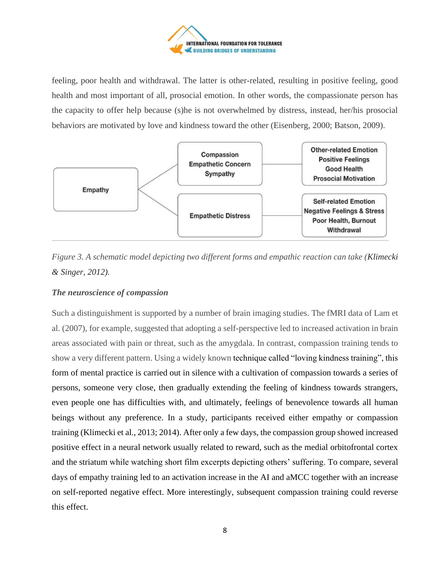

feeling, poor health and withdrawal. The latter is other-related, resulting in positive feeling, good health and most important of all, prosocial emotion. In other words, the compassionate person has the capacity to offer help because (s)he is not overwhelmed by distress, instead, her/his prosocial behaviors are motivated by love and kindness toward the other (Eisenberg, 2000; Batson, 2009).





# *The neuroscience of compassion*

Such a distinguishment is supported by a number of brain imaging studies. The fMRI data of Lam et al. (2007), for example, suggested that adopting a self-perspective led to increased activation in brain areas associated with pain or threat, such as the amygdala. In contrast, compassion training tends to show a very different pattern. Using a widely known technique called "loving kindness training", this form of mental practice is carried out in silence with a cultivation of compassion towards a series of persons, someone very close, then gradually extending the feeling of kindness towards strangers, even people one has difficulties with, and ultimately, feelings of benevolence towards all human beings without any preference. In a study, participants received either empathy or compassion training (Klimecki et al., 2013; 2014). After only a few days, the compassion group showed increased positive effect in a neural network usually related to reward, such as the medial orbitofrontal cortex and the striatum while watching short film excerpts depicting others' suffering. To compare, several days of empathy training led to an activation increase in the AI and aMCC together with an increase on self-reported negative effect. More interestingly, subsequent compassion training could reverse this effect.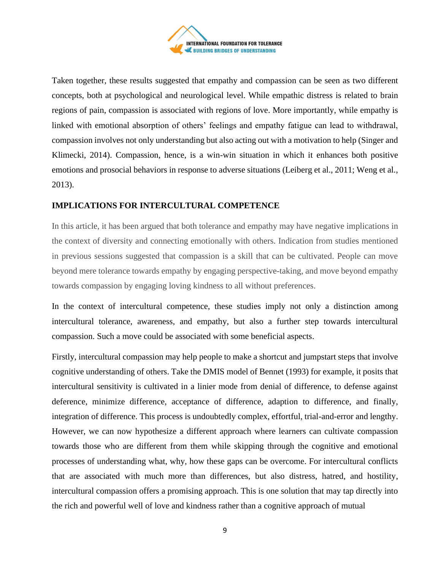

Taken together, these results suggested that empathy and compassion can be seen as two different concepts, both at psychological and neurological level. While empathic distress is related to brain regions of pain, compassion is associated with regions of love. More importantly, while empathy is linked with emotional absorption of others' feelings and empathy fatigue can lead to withdrawal, compassion involves not only understanding but also acting out with a motivation to help (Singer and Klimecki, 2014). Compassion, hence, is a win-win situation in which it enhances both positive emotions and prosocial behaviors in response to adverse situations (Leiberg et al., 2011; Weng et al., 2013).

# **IMPLICATIONS FOR INTERCULTURAL COMPETENCE**

In this article, it has been argued that both tolerance and empathy may have negative implications in the context of diversity and connecting emotionally with others. Indication from studies mentioned in previous sessions suggested that compassion is a skill that can be cultivated. People can move beyond mere tolerance towards empathy by engaging perspective-taking, and move beyond empathy towards compassion by engaging loving kindness to all without preferences.

In the context of intercultural competence, these studies imply not only a distinction among intercultural tolerance, awareness, and empathy, but also a further step towards intercultural compassion. Such a move could be associated with some beneficial aspects.

Firstly, intercultural compassion may help people to make a shortcut and jumpstart steps that involve cognitive understanding of others. Take the DMIS model of Bennet (1993) for example, it posits that intercultural sensitivity is cultivated in a linier mode from denial of difference, to defense against deference, minimize difference, acceptance of difference, adaption to difference, and finally, integration of difference. This process is undoubtedly complex, effortful, trial-and-error and lengthy. However, we can now hypothesize a different approach where learners can cultivate compassion towards those who are different from them while skipping through the cognitive and emotional processes of understanding what, why, how these gaps can be overcome. For intercultural conflicts that are associated with much more than differences, but also distress, hatred, and hostility, intercultural compassion offers a promising approach. This is one solution that may tap directly into the rich and powerful well of love and kindness rather than a cognitive approach of mutual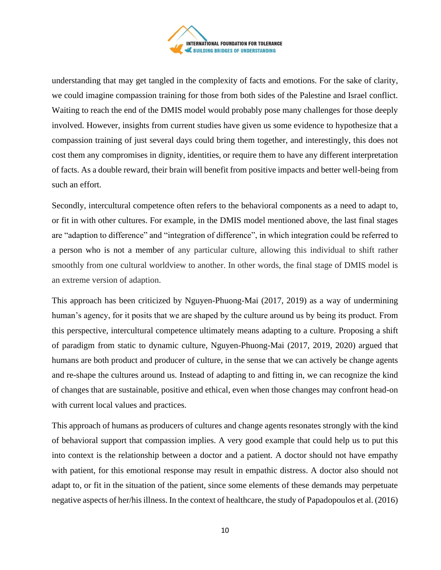

understanding that may get tangled in the complexity of facts and emotions. For the sake of clarity, we could imagine compassion training for those from both sides of the Palestine and Israel conflict. Waiting to reach the end of the DMIS model would probably pose many challenges for those deeply involved. However, insights from current studies have given us some evidence to hypothesize that a compassion training of just several days could bring them together, and interestingly, this does not cost them any compromises in dignity, identities, or require them to have any different interpretation of facts. As a double reward, their brain will benefit from positive impacts and better well-being from such an effort.

Secondly, intercultural competence often refers to the behavioral components as a need to adapt to, or fit in with other cultures. For example, in the DMIS model mentioned above, the last final stages are "adaption to difference" and "integration of difference", in which integration could be referred to a person who is not a member of any particular culture, allowing this individual to shift rather smoothly from one cultural worldview to another. In other words, the final stage of DMIS model is an extreme version of adaption.

This approach has been criticized by Nguyen-Phuong-Mai (2017, 2019) as a way of undermining human's agency, for it posits that we are shaped by the culture around us by being its product. From this perspective, intercultural competence ultimately means adapting to a culture. Proposing a shift of paradigm from static to dynamic culture, Nguyen-Phuong-Mai (2017, 2019, 2020) argued that humans are both product and producer of culture, in the sense that we can actively be change agents and re-shape the cultures around us. Instead of adapting to and fitting in, we can recognize the kind of changes that are sustainable, positive and ethical, even when those changes may confront head-on with current local values and practices.

This approach of humans as producers of cultures and change agents resonates strongly with the kind of behavioral support that compassion implies. A very good example that could help us to put this into context is the relationship between a doctor and a patient. A doctor should not have empathy with patient, for this emotional response may result in empathic distress. A doctor also should not adapt to, or fit in the situation of the patient, since some elements of these demands may perpetuate negative aspects of her/his illness. In the context of healthcare, the study of Papadopoulos et al. (2016)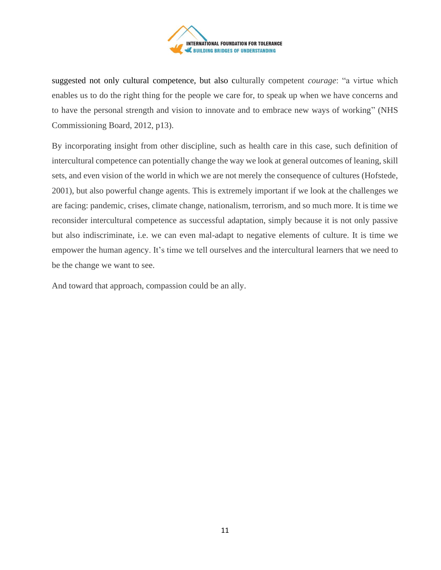

suggested not only cultural competence, but also culturally competent *courage*: "a virtue which enables us to do the right thing for the people we care for, to speak up when we have concerns and to have the personal strength and vision to innovate and to embrace new ways of working" (NHS Commissioning Board, 2012, p13).

By incorporating insight from other discipline, such as health care in this case, such definition of intercultural competence can potentially change the way we look at general outcomes of leaning, skill sets, and even vision of the world in which we are not merely the consequence of cultures (Hofstede, 2001), but also powerful change agents. This is extremely important if we look at the challenges we are facing: pandemic, crises, climate change, nationalism, terrorism, and so much more. It is time we reconsider intercultural competence as successful adaptation, simply because it is not only passive but also indiscriminate, i.e. we can even mal-adapt to negative elements of culture. It is time we empower the human agency. It's time we tell ourselves and the intercultural learners that we need to be the change we want to see.

And toward that approach, compassion could be an ally.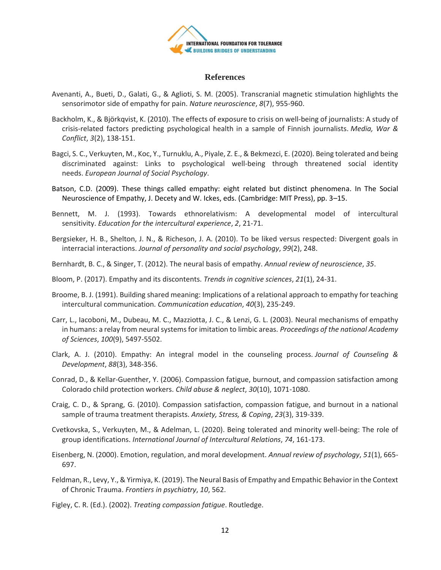

#### **References**

- Avenanti, A., Bueti, D., Galati, G., & Aglioti, S. M. (2005). Transcranial magnetic stimulation highlights the sensorimotor side of empathy for pain. *Nature neuroscience*, *8*(7), 955-960.
- Backholm, K., & Björkqvist, K. (2010). The effects of exposure to crisis on well-being of journalists: A study of crisis-related factors predicting psychological health in a sample of Finnish journalists. *Media, War & Conflict*, *3*(2), 138-151.
- Bagci, S. C., Verkuyten, M., Koc, Y., Turnuklu, A., Piyale, Z. E., & Bekmezci, E. (2020). Being tolerated and being discriminated against: Links to psychological well‐being through threatened social identity needs. *European Journal of Social Psychology*.
- Batson, C.D. (2009). These things called empathy: eight related but distinct phenomena. In The Social Neuroscience of Empathy, J. Decety and W. Ickes, eds. (Cambridge: MIT Press), pp. 3–15.
- Bennett, M. J. (1993). Towards ethnorelativism: A developmental model of intercultural sensitivity. *Education for the intercultural experience*, *2*, 21-71.
- Bergsieker, H. B., Shelton, J. N., & Richeson, J. A. (2010). To be liked versus respected: Divergent goals in interracial interactions. *Journal of personality and social psychology*, *99*(2), 248.
- Bernhardt, B. C., & Singer, T. (2012). The neural basis of empathy. *Annual review of neuroscience*, *35*.
- Bloom, P. (2017). Empathy and its discontents. *Trends in cognitive sciences*, *21*(1), 24-31.
- Broome, B. J. (1991). Building shared meaning: Implications of a relational approach to empathy for teaching intercultural communication. *Communication education*, *40*(3), 235-249.
- Carr, L., Iacoboni, M., Dubeau, M. C., Mazziotta, J. C., & Lenzi, G. L. (2003). Neural mechanisms of empathy in humans: a relay from neural systems for imitation to limbic areas. *Proceedings of the national Academy of Sciences*, *100*(9), 5497-5502.
- Clark, A. J. (2010). Empathy: An integral model in the counseling process. *Journal of Counseling & Development*, *88*(3), 348-356.
- Conrad, D., & Kellar-Guenther, Y. (2006). Compassion fatigue, burnout, and compassion satisfaction among Colorado child protection workers. *Child abuse & neglect*, *30*(10), 1071-1080.
- Craig, C. D., & Sprang, G. (2010). Compassion satisfaction, compassion fatigue, and burnout in a national sample of trauma treatment therapists. *Anxiety, Stress, & Coping*, *23*(3), 319-339.
- Cvetkovska, S., Verkuyten, M., & Adelman, L. (2020). Being tolerated and minority well-being: The role of group identifications. *International Journal of Intercultural Relations*, *74*, 161-173.
- Eisenberg, N. (2000). Emotion, regulation, and moral development. *Annual review of psychology*, *51*(1), 665- 697.
- Feldman, R., Levy, Y., & Yirmiya, K. (2019). The Neural Basis of Empathy and Empathic Behavior in the Context of Chronic Trauma. *Frontiers in psychiatry*, *10*, 562.

Figley, C. R. (Ed.). (2002). *Treating compassion fatigue*. Routledge.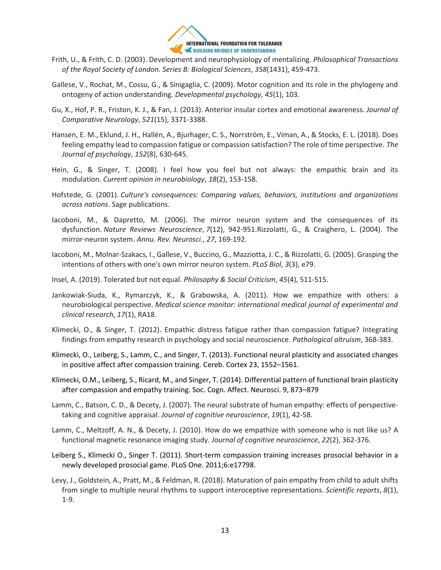

- Frith, U., & Frith, C. D. (2003). Development and neurophysiology of mentalizing. *Philosophical Transactions of the Royal Society of London. Series B: Biological Sciences*, *358*(1431), 459-473.
- Gallese, V., Rochat, M., Cossu, G., & Sinigaglia, C. (2009). Motor cognition and its role in the phylogeny and ontogeny of action understanding. *Developmental psychology*, *45*(1), 103.
- Gu, X., Hof, P. R., Friston, K. J., & Fan, J. (2013). Anterior insular cortex and emotional awareness. *Journal of Comparative Neurology*, *521*(15), 3371-3388.
- Hansen, E. M., Eklund, J. H., Hallén, A., Bjurhager, C. S., Norrström, E., Viman, A., & Stocks, E. L. (2018). Does feeling empathy lead to compassion fatigue or compassion satisfaction? The role of time perspective. *The Journal of psychology*, *152*(8), 630-645.
- Hein, G., & Singer, T. (2008). I feel how you feel but not always: the empathic brain and its modulation. *Current opinion in neurobiology*, *18*(2), 153-158.
- Hofstede, G. (2001). *Culture's consequences: Comparing values, behaviors, institutions and organizations across nations*. Sage publications.
- Iacoboni, M., & Dapretto, M. (2006). The mirror neuron system and the consequences of its dysfunction. *Nature Reviews Neuroscience*, *7*(12), 942-951.Rizzolatti, G., & Craighero, L. (2004). The mirror-neuron system. *Annu. Rev. Neurosci.*, *27*, 169-192.
- Iacoboni, M., Molnar-Szakacs, I., Gallese, V., Buccino, G., Mazziotta, J. C., & Rizzolatti, G. (2005). Grasping the intentions of others with one's own mirror neuron system. *PLoS Biol*, *3*(3), e79.
- Insel, A. (2019). Tolerated but not equal. *Philosophy & Social Criticism*, *45*(4), 511-515.
- Jankowiak-Siuda, K., Rymarczyk, K., & Grabowska, A. (2011). How we empathize with others: a neurobiological perspective. *Medical science monitor: international medical journal of experimental and clinical research*, *17*(1), RA18.
- Klimecki, O., & Singer, T. (2012). Empathic distress fatigue rather than compassion fatigue? Integrating findings from empathy research in psychology and social neuroscience. *Pathological altruism*, 368-383.
- Klimecki, O., Leiberg, S., Lamm, C., and Singer, T. (2013). Functional neural plasticity and associated changes in positive affect after compassion training. Cereb. Cortex 23, 1552–1561.
- Klimecki, O.M., Leiberg, S., Ricard, M., and Singer, T. (2014). Differential pattern of functional brain plasticity after compassion and empathy training. Soc. Cogn. Affect. Neurosci. 9, 873–879
- Lamm, C., Batson, C. D., & Decety, J. (2007). The neural substrate of human empathy: effects of perspectivetaking and cognitive appraisal. *Journal of cognitive neuroscience*, *19*(1), 42-58.
- Lamm, C., Meltzoff, A. N., & Decety, J. (2010). How do we empathize with someone who is not like us? A functional magnetic resonance imaging study. *Journal of cognitive neuroscience*, *22*(2), 362-376.
- Leiberg S., Klimecki O., Singer T. (2011). Short-term compassion training increases prosocial behavior in a newly developed prosocial game. PLoS One. 2011;6:e17798.
- Levy, J., Goldstein, A., Pratt, M., & Feldman, R. (2018). Maturation of pain empathy from child to adult shifts from single to multiple neural rhythms to support interoceptive representations. *Scientific reports*, *8*(1), 1-9.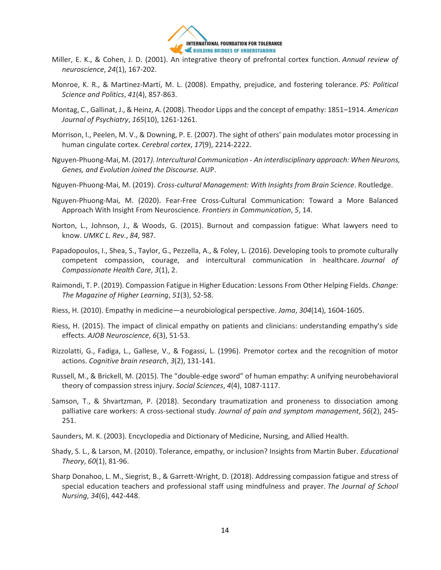

- Miller, E. K., & Cohen, J. D. (2001). An integrative theory of prefrontal cortex function. *Annual review of neuroscience*, *24*(1), 167-202.
- Monroe, K. R., & Martinez-Martí, M. L. (2008). Empathy, prejudice, and fostering tolerance. *PS: Political Science and Politics*, *41*(4), 857-863.
- Montag, C., Gallinat, J., & Heinz, A. (2008). Theodor Lipps and the concept of empathy: 1851–1914. *American Journal of Psychiatry*, *165*(10), 1261-1261.
- Morrison, I., Peelen, M. V., & Downing, P. E. (2007). The sight of others' pain modulates motor processing in human cingulate cortex. *Cerebral cortex*, *17*(9), 2214-2222.
- Nguyen-Phuong-Mai, M. (2017*). Intercultural Communication - An interdisciplinary approach: When Neurons, Genes, and Evolution Joined the Discourse.* AUP.
- Nguyen-Phuong-Mai, M. (2019). *Cross-cultural Management: With Insights from Brain Science*. Routledge.
- Nguyen-Phuong-Mai, M. (2020). Fear-Free Cross-Cultural Communication: Toward a More Balanced Approach With Insight From Neuroscience. *Frontiers in Communication*, *5*, 14.
- Norton, L., Johnson, J., & Woods, G. (2015). Burnout and compassion fatigue: What lawyers need to know. *UMKC L. Rev.*, *84*, 987.
- Papadopoulos, I., Shea, S., Taylor, G., Pezzella, A., & Foley, L. (2016). Developing tools to promote culturally competent compassion, courage, and intercultural communication in healthcare. *Journal of Compassionate Health Care*, *3*(1), 2.
- Raimondi, T. P. (2019). Compassion Fatigue in Higher Education: Lessons From Other Helping Fields. *Change: The Magazine of Higher Learning*, *51*(3), 52-58.
- Riess, H. (2010). Empathy in medicine—a neurobiological perspective. *Jama*, *304*(14), 1604-1605.
- Riess, H. (2015). The impact of clinical empathy on patients and clinicians: understanding empathy's side effects. *AJOB Neuroscience*, *6*(3), 51-53.
- Rizzolatti, G., Fadiga, L., Gallese, V., & Fogassi, L. (1996). Premotor cortex and the recognition of motor actions. *Cognitive brain research*, *3*(2), 131-141.
- Russell, M., & Brickell, M. (2015). The "double-edge sword" of human empathy: A unifying neurobehavioral theory of compassion stress injury. *Social Sciences*, *4*(4), 1087-1117.
- Samson, T., & Shvartzman, P. (2018). Secondary traumatization and proneness to dissociation among palliative care workers: A cross-sectional study. *Journal of pain and symptom management*, *56*(2), 245- 251.
- Saunders, M. K. (2003). Encyclopedia and Dictionary of Medicine, Nursing, and Allied Health.
- Shady, S. L., & Larson, M. (2010). Tolerance, empathy, or inclusion? Insights from Martin Buber. *Educational Theory*, *60*(1), 81-96.
- Sharp Donahoo, L. M., Siegrist, B., & Garrett-Wright, D. (2018). Addressing compassion fatigue and stress of special education teachers and professional staff using mindfulness and prayer. *The Journal of School Nursing*, *34*(6), 442-448.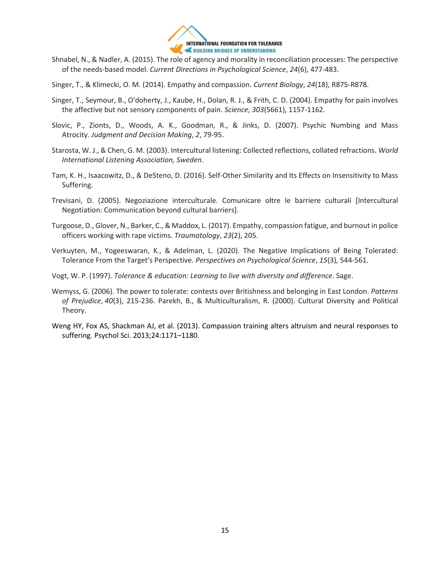

- Shnabel, N., & Nadler, A. (2015). The role of agency and morality in reconciliation processes: The perspective of the needs-based model. *Current Directions in Psychological Science*, *24*(6), 477-483.
- Singer, T., & Klimecki, O. M. (2014). Empathy and compassion. *Current Biology*, *24*(18), R875-R878.
- Singer, T., Seymour, B., O'doherty, J., Kaube, H., Dolan, R. J., & Frith, C. D. (2004). Empathy for pain involves the affective but not sensory components of pain. *Science*, *303*(5661), 1157-1162.
- Slovic, P., Zionts, D., Woods, A. K., Goodman, R., & Jinks, D. (2007). Psychic Numbing and Mass Atrocity. *Judgment and Decision Making*, *2*, 79-95.
- Starosta, W. J., & Chen, G. M. (2003). Intercultural listening: Collected reflections, collated refractions. *World International Listening Association, Sweden*.
- Tam, K. H., Isaacowitz, D., & DeSteno, D. (2016). Self-Other Similarity and Its Effects on Insensitivity to Mass Suffering.
- Trevisani, D. (2005). Negoziazione interculturale. Comunicare oltre le barriere culturali [Intercultural Negotiation: Communication beyond cultural barriers].
- Turgoose, D., Glover, N., Barker, C., & Maddox, L. (2017). Empathy, compassion fatigue, and burnout in police officers working with rape victims. *Traumatology*, *23*(2), 205.
- Verkuyten, M., Yogeeswaran, K., & Adelman, L. (2020). The Negative Implications of Being Tolerated: Tolerance From the Target's Perspective. *Perspectives on Psychological Science*, *15*(3), 544-561.
- Vogt, W. P. (1997). *Tolerance & education: Learning to live with diversity and difference*. Sage.
- Wemyss, G. (2006). The power to tolerate: contests over Britishness and belonging in East London. *Patterns of Prejudice*, *40*(3), 215-236. Parekh, B., & Multiculturalism, R. (2000). Cultural Diversity and Political Theory.
- Weng HY, Fox AS, Shackman AJ, et al. (2013). Compassion training alters altruism and neural responses to suffering. Psychol Sci. 2013;24:1171–1180.